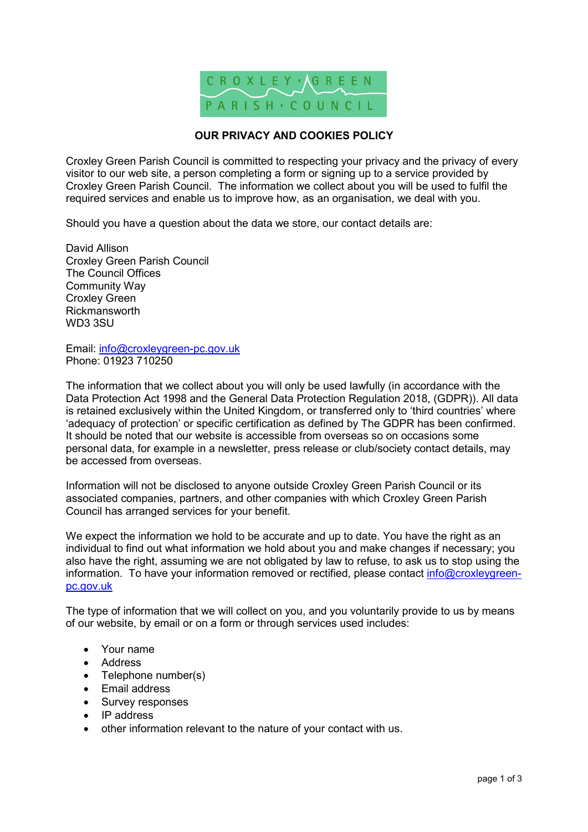

# **OUR PRIVACY AND COOKIES POLICY**

Croxley Green Parish Council is committed to respecting your privacy and the privacy of every visitor to our web site, a person completing a form or signing up to a service provided by Croxley Green Parish Council. The information we collect about you will be used to fulfil the required services and enable us to improve how, as an organisation, we deal with you.

Should you have a question about the data we store, our contact details are:

David Allison Croxley Green Parish Council The Council Offices Community Way Croxley Green Rickmansworth WD3 3SU

Email: info@croxleygreen-pc.gov.uk Phone: 01923 710250

The information that we collect about you will only be used lawfully (in accordance with the Data Protection Act 1998 and the General Data Protection Regulation 2018, (GDPR)). All data is retained exclusively within the United Kingdom, or transferred only to 'third countries' where 'adequacy of protection' or specific certification as defined by The GDPR has been confirmed. It should be noted that our website is accessible from overseas so on occasions some personal data, for example in a newsletter, press release or club/society contact details, may be accessed from overseas.

Information will not be disclosed to anyone outside Croxley Green Parish Council or its associated companies, partners, and other companies with which Croxley Green Parish Council has arranged services for your benefit.

We expect the information we hold to be accurate and up to date. You have the right as an individual to find out what information we hold about you and make changes if necessary; you also have the right, assuming we are not obligated by law to refuse, to ask us to stop using the information. To have your information removed or rectified, please contact info@croxleygreenpc.gov.uk

The type of information that we will collect on you, and you voluntarily provide to us by means of our website, by email or on a form or through services used includes:

- Your name
- Address
- Telephone number(s)
- Email address
- Survey responses
- IP address
- other information relevant to the nature of your contact with us.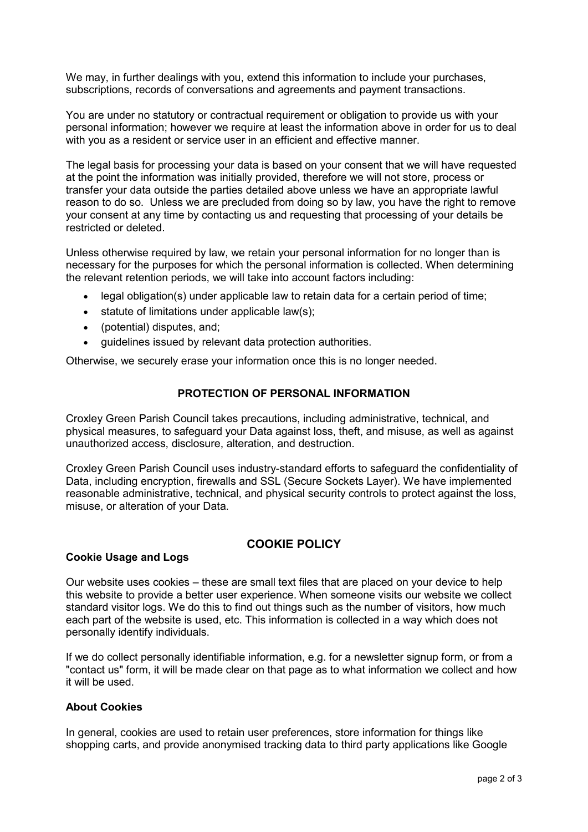We may, in further dealings with you, extend this information to include your purchases, subscriptions, records of conversations and agreements and payment transactions.

You are under no statutory or contractual requirement or obligation to provide us with your personal information; however we require at least the information above in order for us to deal with you as a resident or service user in an efficient and effective manner.

The legal basis for processing your data is based on your consent that we will have requested at the point the information was initially provided, therefore we will not store, process or transfer your data outside the parties detailed above unless we have an appropriate lawful reason to do so. Unless we are precluded from doing so by law, you have the right to remove your consent at any time by contacting us and requesting that processing of your details be restricted or deleted.

Unless otherwise required by law, we retain your personal information for no longer than is necessary for the purposes for which the personal information is collected. When determining the relevant retention periods, we will take into account factors including:

- legal obligation(s) under applicable law to retain data for a certain period of time;
- statute of limitations under applicable law(s):
- (potential) disputes, and;
- guidelines issued by relevant data protection authorities.

Otherwise, we securely erase your information once this is no longer needed.

# **PROTECTION OF PERSONAL INFORMATION**

Croxley Green Parish Council takes precautions, including administrative, technical, and physical measures, to safeguard your Data against loss, theft, and misuse, as well as against unauthorized access, disclosure, alteration, and destruction.

Croxley Green Parish Council uses industry-standard efforts to safeguard the confidentiality of Data, including encryption, firewalls and SSL (Secure Sockets Layer). We have implemented reasonable administrative, technical, and physical security controls to protect against the loss, misuse, or alteration of your Data.

# **Cookie Usage and Logs**

# **COOKIE POLICY**

Our website uses cookies – these are small text files that are placed on your device to help this website to provide a better user experience. When someone visits our website we collect standard visitor logs. We do this to find out things such as the number of visitors, how much each part of the website is used, etc. This information is collected in a way which does not personally identify individuals.

If we do collect personally identifiable information, e.g. for a newsletter signup form, or from a "contact us" form, it will be made clear on that page as to what information we collect and how it will be used.

# **About Cookies**

In general, cookies are used to retain user preferences, store information for things like shopping carts, and provide anonymised tracking data to third party applications like Google